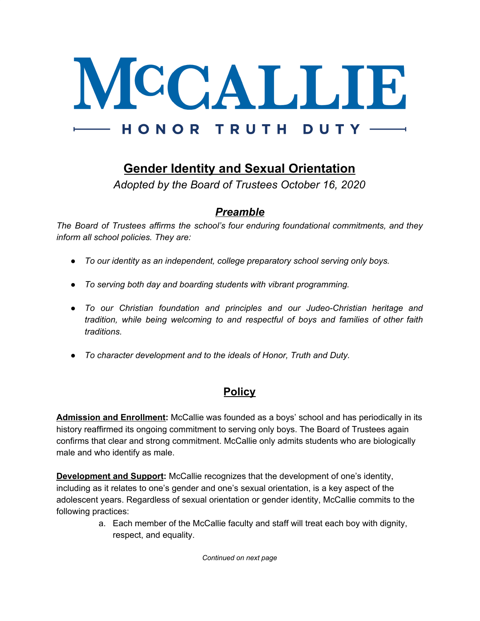

## **Gender Identity and Sexual Orientation**

*Adopted by the Board of Trustees October 16, 2020*

## *Preamble*

*The Board of Trustees affirms the school's four enduring foundational commitments, and they inform all school policies. They are:*

- *● To our identity as an independent, college preparatory school serving only boys.*
- *● To serving both day and boarding students with vibrant programming.*
- *● To our Christian foundation and principles and our Judeo-Christian heritage and tradition, while being welcoming to and respectful of boys and families of other faith traditions.*
- *● To character development and to the ideals of Honor, Truth and Duty.*

## **Policy**

**Admission and Enrollment:** McCallie was founded as a boys' school and has periodically in its history reaffirmed its ongoing commitment to serving only boys. The Board of Trustees again confirms that clear and strong commitment. McCallie only admits students who are biologically male and who identify as male.

**Development and Support:** McCallie recognizes that the development of one's identity, including as it relates to one's gender and one's sexual orientation, is a key aspect of the adolescent years. Regardless of sexual orientation or gender identity, McCallie commits to the following practices:

> a. Each member of the McCallie faculty and staff will treat each boy with dignity, respect, and equality.

> > *Continued on next page*